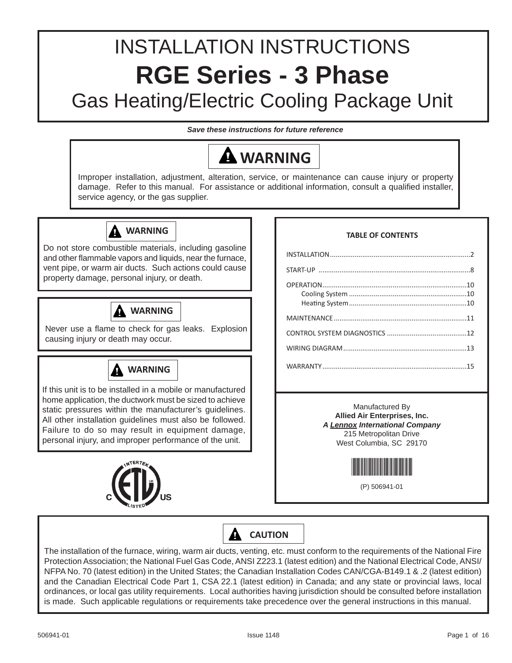# INSTALLATION INSTRUCTIONS **RGE Series - 3 Phase** Gas Heating/Electric Cooling Package Unit

*Save these instructions for future reference*



Protection Association; the National Fuel Gas Code, ANSI Z223.1 (latest edition) and the National Electrical Code, ANSI/ NFPA No. 70 (latest edition) in the United States; the Canadian Installation Codes CAN/CGA-B149.1 & .2 (latest edition) and the Canadian Electrical Code Part 1, CSA 22.1 (latest edition) in Canada; and any state or provincial laws, local ordinances, or local gas utility requirements. Local authorities having jurisdiction should be consulted before installation is made. Such applicable regulations or requirements take precedence over the general instructions in this manual.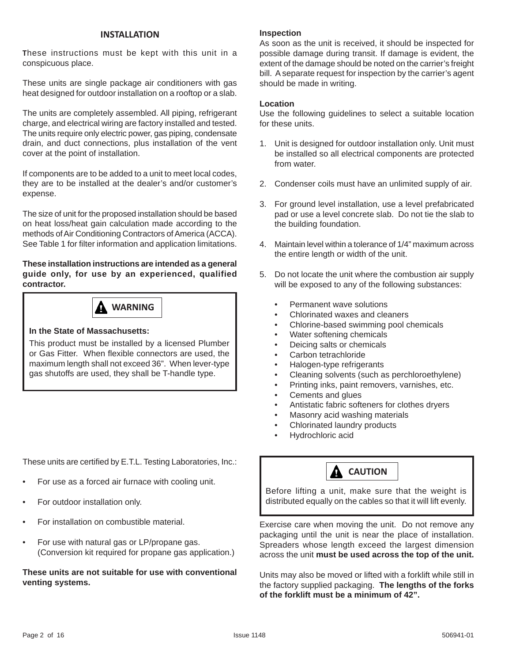#### **INSTALLATION**

**T**hese instructions must be kept with this unit in a conspicuous place.

These units are single package air conditioners with gas heat designed for outdoor installation on a rooftop or a slab.

The units are completely assembled. All piping, refrigerant charge, and electrical wiring are factory installed and tested. The units require only electric power, gas piping, condensate drain, and duct connections, plus installation of the vent cover at the point of installation.

If components are to be added to a unit to meet local codes, they are to be installed at the dealer's and/or customer's expense.

The size of unit for the proposed installation should be based on heat loss/heat gain calculation made according to the methods of Air Conditioning Contractors of America (ACCA). See Table 1 for filter information and application limitations.

#### **These installation instructions are intended as a general guide only, for use by an experienced, qualified contractor.**



#### **In the State of Massachusetts:**

This product must be installed by a licensed Plumber or Gas Fitter. When flexible connectors are used, the maximum length shall not exceed 36". When lever-type gas shutoffs are used, they shall be T-handle type.

These units are certified by E.T.L. Testing Laboratories, Inc.:

- For use as a forced air furnace with cooling unit.
- For outdoor installation only.
- For installation on combustible material.
- For use with natural gas or LP/propane gas. (Conversion kit required for propane gas application.)

#### **These units are not suitable for use with conventional venting systems.**

#### **Inspection**

As soon as the unit is received, it should be inspected for possible damage during transit. If damage is evident, the extent of the damage should be noted on the carrier's freight bill. A separate request for inspection by the carrier's agent should be made in writing.

#### **Location**

Use the following guidelines to select a suitable location for these units.

- 1. Unit is designed for outdoor installation only. Unit must be installed so all electrical components are protected from water.
- 2. Condenser coils must have an unlimited supply of air.
- 3. For ground level installation, use a level prefabricated pad or use a level concrete slab. Do not tie the slab to the building foundation.
- 4. Maintain level within a tolerance of 1/4" maximum across the entire length or width of the unit.
- 5. Do not locate the unit where the combustion air supply will be exposed to any of the following substances:
	- Permanent wave solutions
	- Chlorinated waxes and cleaners
	- Chlorine-based swimming pool chemicals
	- Water softening chemicals
	- Deicing salts or chemicals
	- Carbon tetrachloride
	- Halogen-type refrigerants
	- Cleaning solvents (such as perchloroethylene)
	- Printing inks, paint removers, varnishes, etc.
	- Cements and glues
	- Antistatic fabric softeners for clothes dryers
	- Masonry acid washing materials
	- Chlorinated laundry products
	- Hydrochloric acid



Before lifting a unit, make sure that the weight is distributed equally on the cables so that it will lift evenly.

Exercise care when moving the unit. Do not remove any packaging until the unit is near the place of installation. Spreaders whose length exceed the largest dimension across the unit **must be used across the top of the unit.**

Units may also be moved or lifted with a forklift while still in the factory supplied packaging. **The lengths of the forks of the forklift must be a minimum of 42".**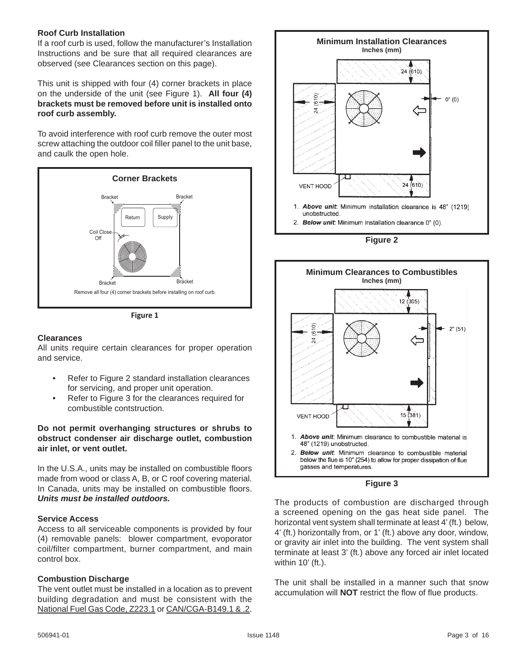#### **Roof Curb Installation**

If a roof curb is used, follow the manufacturer's Installation Instructions and be sure that all required clearances are observed (see Clearances section on this page).

This unit is shipped with four (4) corner brackets in place on the underside of the unit (see Figure 1). **All four (4) brackets must be removed before unit is installed onto roof curb assembly.**

To avoid interference with roof curb remove the outer most screw attaching the outdoor coil filler panel to the unit base, and caulk the open hole.



**Figure 1**

#### **Clearances**

All units require certain clearances for proper operation and service.

- Refer to Figure 2 standard installation clearances for servicing, and proper unit operation.
- Refer to Figure 3 for the clearances required for combustible contstruction.

**Do not permit overhanging structures or shrubs to obstruct condenser air discharge outlet, combustion air inlet, or vent outlet.**

In the U.S.A., units may be installed on combustible floors made from wood or class A, B, or C roof covering material. In Canada, units may be installed on combustible floors. *Units must be installed outdoors.*

#### **Service Access**

Access to all serviceable components is provided by four (4) removable panels: blower compartment, evoporator coil/filter compartment, burner compartment, and main control box.

#### **Combustion Discharge**

The vent outlet must be installed in a location as to prevent building degradation and must be consistent with the National Fuel Gas Code, Z223.1 or CAN/CGA-B149.1 & .2.



**Figure 2**





The products of combustion are discharged through a screened opening on the gas heat side panel. The horizontal vent system shall terminate at least 4' (ft.) below, 4' (ft.) horizontally from, or 1' (ft.) above any door, window, or gravity air inlet into the building. The vent system shall terminate at least 3' (ft.) above any forced air inlet located within 10' (ft.).

The unit shall be installed in a manner such that snow accumulation will **NOT** restrict the flow of flue products.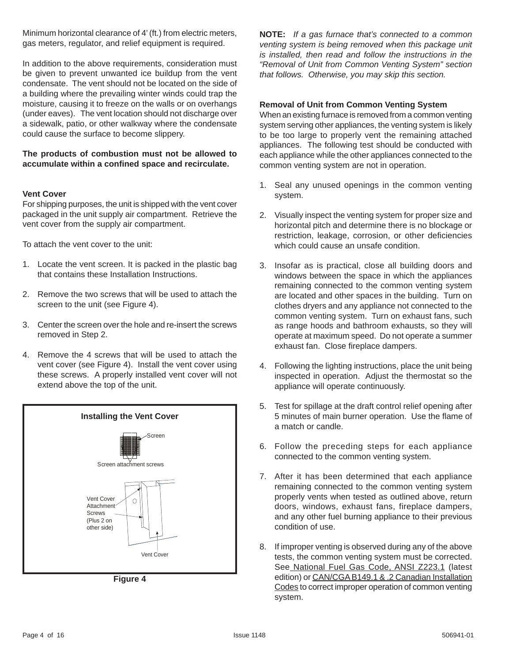Minimum horizontal clearance of 4' (ft.) from electric meters, gas meters, regulator, and relief equipment is required.

In addition to the above requirements, consideration must be given to prevent unwanted ice buildup from the vent condensate. The vent should not be located on the side of a building where the prevailing winter winds could trap the moisture, causing it to freeze on the walls or on overhangs (under eaves). The vent location should not discharge over a sidewalk, patio, or other walkway where the condensate could cause the surface to become slippery.

#### **The products of combustion must not be allowed to accumulate within a confi ned space and recirculate.**

#### **Vent Cover**

For shipping purposes, the unit is shipped with the vent cover packaged in the unit supply air compartment. Retrieve the vent cover from the supply air compartment.

To attach the vent cover to the unit:

- 1. Locate the vent screen. It is packed in the plastic bag that contains these Installation Instructions.
- 2. Remove the two screws that will be used to attach the screen to the unit (see Figure 4).
- 3. Center the screen over the hole and re-insert the screws removed in Step 2.
- 4. Remove the 4 screws that will be used to attach the vent cover (see Figure 4). Install the vent cover using these screws. A properly installed vent cover will not extend above the top of the unit.



**Figure 4**

**NOTE:** *If a gas furnace that's connected to a common venting system is being removed when this package unit is installed, then read and follow the instructions in the "Removal of Unit from Common Venting System" section that follows. Otherwise, you may skip this section.*

#### **Removal of Unit from Common Venting System**

When an existing furnace is removed from a common venting system serving other appliances, the venting system is likely to be too large to properly vent the remaining attached appliances. The following test should be conducted with each appliance while the other appliances connected to the common venting system are not in operation.

- 1. Seal any unused openings in the common venting system.
- 2. Visually inspect the venting system for proper size and horizontal pitch and determine there is no blockage or restriction, leakage, corrosion, or other deficiencies which could cause an unsafe condition.
- 3. Insofar as is practical, close all building doors and windows between the space in which the appliances remaining connected to the common venting system are located and other spaces in the building. Turn on clothes dryers and any appliance not connected to the common venting system. Turn on exhaust fans, such as range hoods and bathroom exhausts, so they will operate at maximum speed. Do not operate a summer exhaust fan. Close fireplace dampers.
- 4. Following the lighting instructions, place the unit being inspected in operation. Adjust the thermostat so the appliance will operate continuously.
- 5. Test for spillage at the draft control relief opening after 5 minutes of main burner operation. Use the flame of a match or candle.
- 6. Follow the preceding steps for each appliance connected to the common venting system.
- 7. After it has been determined that each appliance remaining connected to the common venting system properly vents when tested as outlined above, return doors, windows, exhaust fans, fireplace dampers, and any other fuel burning appliance to their previous condition of use.
- 8. If improper venting is observed during any of the above tests, the common venting system must be corrected. See National Fuel Gas Code, ANSI Z223.1 (latest edition) or CAN/CGA B149.1 & .2 Canadian Installation Codes to correct improper operation of common venting system.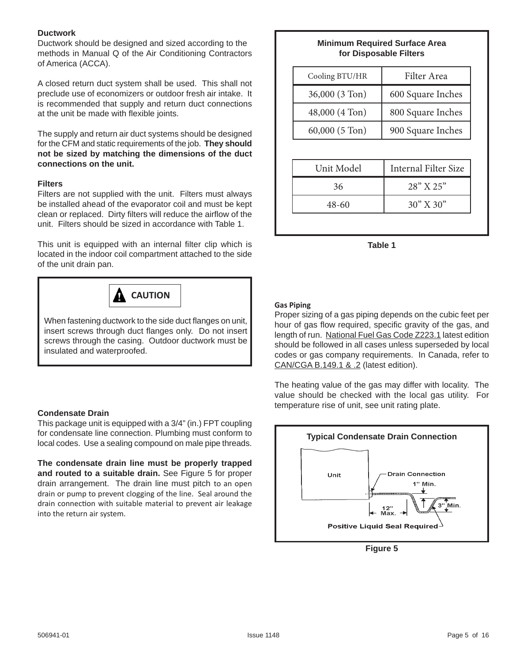#### **Ductwork**

Ductwork should be designed and sized according to the methods in Manual Q of the Air Conditioning Contractors of America (ACCA).

A closed return duct system shall be used. This shall not preclude use of economizers or outdoor fresh air intake. It is recommended that supply and return duct connections at the unit be made with flexible joints.

The supply and return air duct systems should be designed for the CFM and static requirements of the job. **They should not be sized by matching the dimensions of the duct connections on the unit.**

#### **Filters**

Filters are not supplied with the unit. Filters must always be installed ahead of the evaporator coil and must be kept clean or replaced. Dirty filters will reduce the airflow of the unit. Filters should be sized in accordance with Table 1.

This unit is equipped with an internal filter clip which is located in the indoor coil compartment attached to the side of the unit drain pan.



When fastening ductwork to the side duct flanges on unit, insert screws through duct flanges only. Do not insert screws through the casing. Outdoor ductwork must be insulated and waterproofed.

#### **Condensate Drain**

This package unit is equipped with a 3/4" (in.) FPT coupling for condensate line connection. Plumbing must conform to local codes. Use a sealing compound on male pipe threads.

**The condensate drain line must be properly trapped and routed to a suitable drain.** See Figure 5 for proper drain arrangement. The drain line must pitch to an open drain or pump to prevent clogging of the line. Seal around the drain connection with suitable material to prevent air leakage into the return air system.

# **Minimum Required Surface Area for Disposable Filters**

| Filter Area                 |
|-----------------------------|
| 600 Square Inches           |
| 800 Square Inches           |
| 900 Square Inches           |
|                             |
| <b>Internal Filter Size</b> |
| 28" X 25"                   |
| $30'' \times 30''$          |
|                             |

**Table 1**

#### **Gas Piping**

Proper sizing of a gas piping depends on the cubic feet per hour of gas flow required, specific gravity of the gas, and length of run. National Fuel Gas Code Z223.1 latest edition should be followed in all cases unless superseded by local codes or gas company requirements. In Canada, refer to CAN/CGA B.149.1 & .2 (latest edition).

The heating value of the gas may differ with locality. The value should be checked with the local gas utility. For temperature rise of unit, see unit rating plate.



**Figure 5**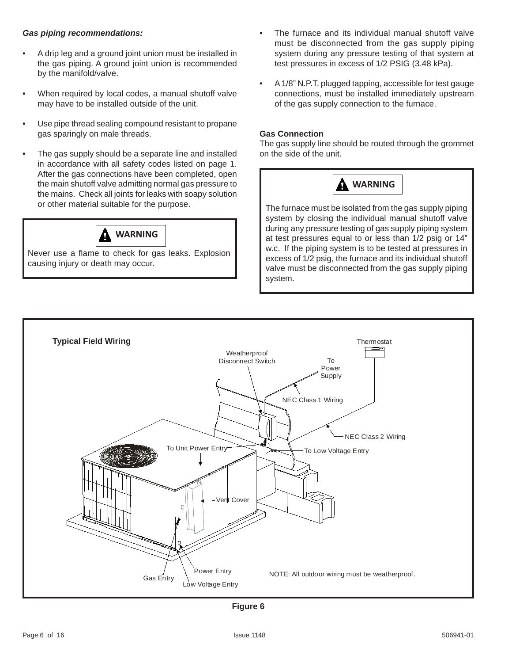#### *Gas piping recommendations:*

- A drip leg and a ground joint union must be installed in the gas piping. A ground joint union is recommended by the manifold/valve.
- When required by local codes, a manual shutoff valve may have to be installed outside of the unit.
- Use pipe thread sealing compound resistant to propane gas sparingly on male threads.
- The gas supply should be a separate line and installed in accordance with all safety codes listed on page 1. After the gas connections have been completed, open the main shutoff valve admitting normal gas pressure to the mains. Check all joints for leaks with soapy solution or other material suitable for the purpose.



Never use a flame to check for gas leaks. Explosion causing injury or death may occur.

- The furnace and its individual manual shutoff valve must be disconnected from the gas supply piping system during any pressure testing of that system at test pressures in excess of 1/2 PSIG (3.48 kPa).
- A 1/8" N.P.T. plugged tapping, accessible for test gauge connections, must be installed immediately upstream of the gas supply connection to the furnace.

#### **Gas Connection**

The gas supply line should be routed through the grommet on the side of the unit.



The furnace must be isolated from the gas supply piping system by closing the individual manual shutoff valve during any pressure testing of gas supply piping system at test pressures equal to or less than 1/2 psig or 14" w.c. If the piping system is to be tested at pressures in excess of 1/2 psig, the furnace and its individual shutoff valve must be disconnected from the gas supply piping system.



**Figure 6**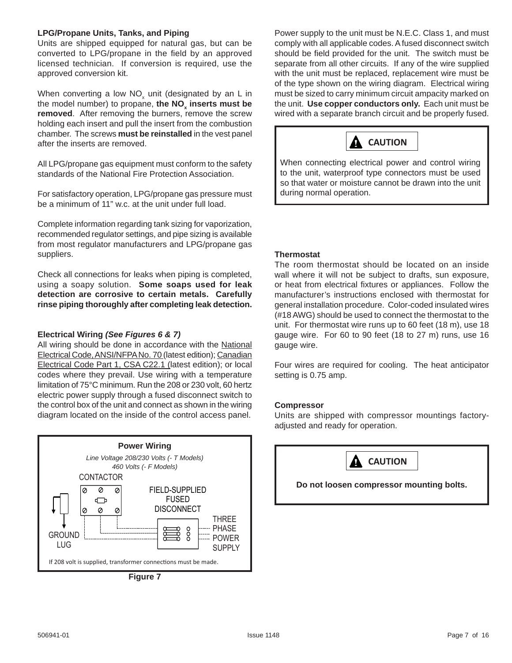#### **LPG/Propane Units, Tanks, and Piping**

Units are shipped equipped for natural gas, but can be converted to LPG/propane in the field by an approved licensed technician. If conversion is required, use the approved conversion kit.

When converting a low NO<sub>x</sub> unit (designated by an L in the model number) to propane, the NO<sub>x</sub> inserts must be **removed**. After removing the burners, remove the screw holding each insert and pull the insert from the combustion chamber. The screws **must be reinstalled** in the vest panel after the inserts are removed.

All LPG/propane gas equipment must conform to the safety standards of the National Fire Protection Association.

For satisfactory operation, LPG/propane gas pressure must be a minimum of 11" w.c. at the unit under full load.

Complete information regarding tank sizing for vaporization, recommended regulator settings, and pipe sizing is available from most regulator manufacturers and LPG/propane gas suppliers.

Check all connections for leaks when piping is completed, using a soapy solution. **Some soaps used for leak detection are corrosive to certain metals. Carefully rinse piping thoroughly after completing leak detection.**

#### **Electrical Wiring** *(See Figures 6 & 7)*

All wiring should be done in accordance with the National Electrical Code, ANSI/NFPA No. 70 (latest edition); Canadian Electrical Code Part 1, CSA C22.1 (latest edition); or local codes where they prevail. Use wiring with a temperature limitation of 75°C minimum. Run the 208 or 230 volt, 60 hertz electric power supply through a fused disconnect switch to the control box of the unit and connect as shown in the wiring diagram located on the inside of the control access panel.



**Figure 7**

Power supply to the unit must be N.E.C. Class 1, and must comply with all applicable codes. A fused disconnect switch should be field provided for the unit. The switch must be separate from all other circuits. If any of the wire supplied with the unit must be replaced, replacement wire must be of the type shown on the wiring diagram. Electrical wiring must be sized to carry minimum circuit ampacity marked on the unit. **Use copper conductors only.** Each unit must be wired with a separate branch circuit and be properly fused.



When connecting electrical power and control wiring to the unit, waterproof type connectors must be used so that water or moisture cannot be drawn into the unit during normal operation.

#### **Thermostat**

The room thermostat should be located on an inside wall where it will not be subject to drafts, sun exposure, or heat from electrical fixtures or appliances. Follow the manufacturer's instructions enclosed with thermostat for general installation procedure. Color-coded insulated wires (#18 AWG) should be used to connect the thermostat to the unit. For thermostat wire runs up to 60 feet (18 m), use 18 gauge wire. For 60 to 90 feet (18 to 27 m) runs, use 16 gauge wire.

Four wires are required for cooling. The heat anticipator setting is 0.75 amp.

#### **Compressor**

Units are shipped with compressor mountings factoryadjusted and ready for operation.



**Do not loosen compressor mounting bolts.**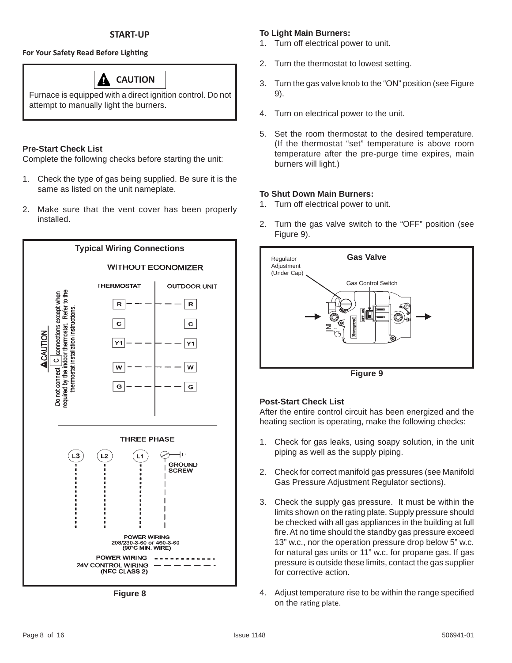# **For Your Safety Read Before Lighting**

# **CAUTION**

Furnace is equipped with a direct ignition control. Do not attempt to manually light the burners.

# **Pre-Start Check List**

Complete the following checks before starting the unit:

- 1. Check the type of gas being supplied. Be sure it is the same as listed on the unit nameplate.
- 2. Make sure that the vent cover has been properly installed.



**Figure 8**

# **To Light Main Burners:**

- 1. Turn off electrical power to unit.
- 2. Turn the thermostat to lowest setting.
- 3. Turn the gas valve knob to the "ON" position (see Figure 9).
- 4. Turn on electrical power to the unit.
- 5. Set the room thermostat to the desired temperature. (If the thermostat "set" temperature is above room temperature after the pre-purge time expires, main burners will light.)

# **To Shut Down Main Burners:**

- 1. Turn off electrical power to unit.
- 2. Turn the gas valve switch to the "OFF" position (see Figure 9).



**Figure 9**

# **Post-Start Check List**

After the entire control circuit has been energized and the heating section is operating, make the following checks:

- 1. Check for gas leaks, using soapy solution, in the unit piping as well as the supply piping.
- 2. Check for correct manifold gas pressures (see Manifold Gas Pressure Adjustment Regulator sections).
- 3. Check the supply gas pressure. It must be within the limits shown on the rating plate. Supply pressure should be checked with all gas appliances in the building at full fire. At no time should the standby gas pressure exceed 13" w.c., nor the operation pressure drop below 5" w.c. for natural gas units or 11" w.c. for propane gas. If gas pressure is outside these limits, contact the gas supplier for corrective action.
- 4. Adjust temperature rise to be within the range specified on the rating plate.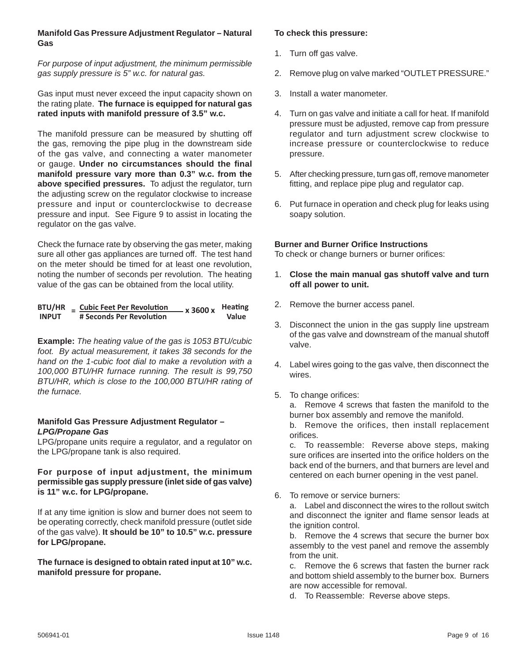#### **Manifold Gas Pressure Adjustment Regulator – Natural Gas**

*For purpose of input adjustment, the minimum permissible gas supply pressure is 5" w.c. for natural gas.*

Gas input must never exceed the input capacity shown on the rating plate. **The furnace is equipped for natural gas rated inputs with manifold pressure of 3.5" w.c.**

The manifold pressure can be measured by shutting off the gas, removing the pipe plug in the downstream side of the gas valve, and connecting a water manometer or gauge. **Under no circumstances should the fi nal manifold pressure vary more than 0.3" w.c. from the**  above specified pressures. To adjust the regulator, turn the adjusting screw on the regulator clockwise to increase pressure and input or counterclockwise to decrease pressure and input. See Figure 9 to assist in locating the regulator on the gas valve.

Check the furnace rate by observing the gas meter, making sure all other gas appliances are turned off. The test hand on the meter should be timed for at least one revolution, noting the number of seconds per revolution. The heating value of the gas can be obtained from the local utility.

#### $B\text{TU/HR}$  =  $\frac{\text{Cubic Feet Per Revolution}}{\text{\#} \text{ seconds Per Revolution}}$  x 3600 x **# Seconds Per Revolution Heating Value**

**Example:** *The heating value of the gas is 1053 BTU/cubic foot. By actual measurement, it takes 38 seconds for the hand on the 1-cubic foot dial to make a revolution with a 100,000 BTU/HR furnace running. The result is 99,750 BTU/HR, which is close to the 100,000 BTU/HR rating of the furnace.*

#### **Manifold Gas Pressure Adjustment Regulator –**  *LPG/Propane Gas*

LPG/propane units require a regulator, and a regulator on the LPG/propane tank is also required.

#### **For purpose of input adjustment, the minimum permissible gas supply pressure (inlet side of gas valve) is 11" w.c. for LPG/propane.**

If at any time ignition is slow and burner does not seem to be operating correctly, check manifold pressure (outlet side of the gas valve). **It should be 10" to 10.5" w.c. pressure for LPG/propane.**

#### **The furnace is designed to obtain rated input at 10" w.c. manifold pressure for propane.**

#### **To check this pressure:**

- 1. Turn off gas valve.
- 2. Remove plug on valve marked "OUTLET PRESSURE."
- 3. Install a water manometer.
- 4. Turn on gas valve and initiate a call for heat. If manifold pressure must be adjusted, remove cap from pressure regulator and turn adjustment screw clockwise to increase pressure or counterclockwise to reduce pressure.
- 5. After checking pressure, turn gas off, remove manometer fitting, and replace pipe plug and regulator cap.
- 6. Put furnace in operation and check plug for leaks using soapy solution.

### **Burner and Burner Orifice Instructions**

To check or change burners or burner orifices:

- 1. **Close the main manual gas shutoff valve and turn off all power to unit.**
- 2. Remove the burner access panel.
- 3. Disconnect the union in the gas supply line upstream of the gas valve and downstream of the manual shutoff valve.
- 4. Label wires going to the gas valve, then disconnect the wires.
- 5. To change orifices:

 a. Remove 4 screws that fasten the manifold to the burner box assembly and remove the manifold.

 b. Remove the orifices, then install replacement orifices.

 c. To reassemble: Reverse above steps, making sure orifices are inserted into the orifice holders on the back end of the burners, and that burners are level and centered on each burner opening in the vest panel.

6. To remove or service burners:

 a. Label and disconnect the wires to the rollout switch and disconnect the igniter and flame sensor leads at the ignition control.

 b. Remove the 4 screws that secure the burner box assembly to the vest panel and remove the assembly from the unit.

 c. Remove the 6 screws that fasten the burner rack and bottom shield assembly to the burner box. Burners are now accessible for removal.

d. To Reassemble: Reverse above steps.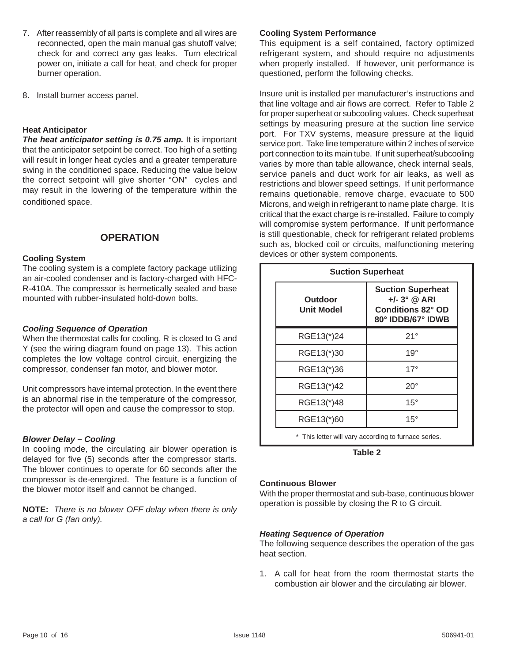- 7. After reassembly of all parts is complete and all wires are reconnected, open the main manual gas shutoff valve; check for and correct any gas leaks. Turn electrical power on, initiate a call for heat, and check for proper burner operation.
- 8. Install burner access panel.

#### **Heat Anticipator**

*The heat anticipator setting is 0.75 amp.* It is important that the anticipator setpoint be correct. Too high of a setting will result in longer heat cycles and a greater temperature swing in the conditioned space. Reducing the value below the correct setpoint will give shorter "ON" cycles and may result in the lowering of the temperature within the conditioned space.

## **OPERATION**

#### **Cooling System**

The cooling system is a complete factory package utilizing an air-cooled condenser and is factory-charged with HFC-R-410A. The compressor is hermetically sealed and base mounted with rubber-insulated hold-down bolts.

#### *Cooling Sequence of Operation*

When the thermostat calls for cooling, R is closed to G and Y (see the wiring diagram found on page 13). This action completes the low voltage control circuit, energizing the compressor, condenser fan motor, and blower motor.

Unit compressors have internal protection. In the event there is an abnormal rise in the temperature of the compressor, the protector will open and cause the compressor to stop.

#### *Blower Delay – Cooling*

In cooling mode, the circulating air blower operation is delayed for five (5) seconds after the compressor starts. The blower continues to operate for 60 seconds after the compressor is de-energized. The feature is a function of the blower motor itself and cannot be changed.

**NOTE:** *There is no blower OFF delay when there is only a call for G (fan only).*

#### **Cooling System Performance**

This equipment is a self contained, factory optimized refrigerant system, and should require no adjustments when properly installed. If however, unit performance is questioned, perform the following checks.

Insure unit is installed per manufacturer's instructions and that line voltage and air flows are correct. Refer to Table 2 for proper superheat or subcooling values. Check superheat settings by measuring presure at the suction line service port. For TXV systems, measure pressure at the liquid service port. Take line temperature within 2 inches of service port connection to its main tube. If unit superheat/subcooling varies by more than table allowance, check internal seals, service panels and duct work for air leaks, as well as restrictions and blower speed settings. If unit performance remains quetionable, remove charge, evacuate to 500 Microns, and weigh in refrigerant to name plate charge. It is critical that the exact charge is re-installed. Failure to comply will compromise system performance. If unit performance is still questionable, check for refrigerant related problems such as, blocked coil or circuits, malfunctioning metering devices or other system components.

| <b>Suction Superheat</b> |                                                                                             |  |  |  |
|--------------------------|---------------------------------------------------------------------------------------------|--|--|--|
| Outdoor<br>Unit Model    | <b>Suction Superheat</b><br>$+/- 3^{\circ}$ @ ARI<br>Conditions 82° OD<br>80° IDDB/67° IDWB |  |  |  |
| RGE13(*)24               | 21°                                                                                         |  |  |  |
| RGE13(*)30               | $19^{\circ}$                                                                                |  |  |  |
| RGE13(*)36               | 17°                                                                                         |  |  |  |
| RGE13(*)42               | $20^{\circ}$                                                                                |  |  |  |
| RGE13(*)48               | $15^{\circ}$                                                                                |  |  |  |
| RGE13(*)60               | $15^{\circ}$                                                                                |  |  |  |
|                          | * This letter will vary according to furnace series.                                        |  |  |  |

**Table 2**

#### **Continuous Blower**

With the proper thermostat and sub-base, continuous blower operation is possible by closing the R to G circuit.

#### *Heating Sequence of Operation*

The following sequence describes the operation of the gas heat section.

1. A call for heat from the room thermostat starts the combustion air blower and the circulating air blower.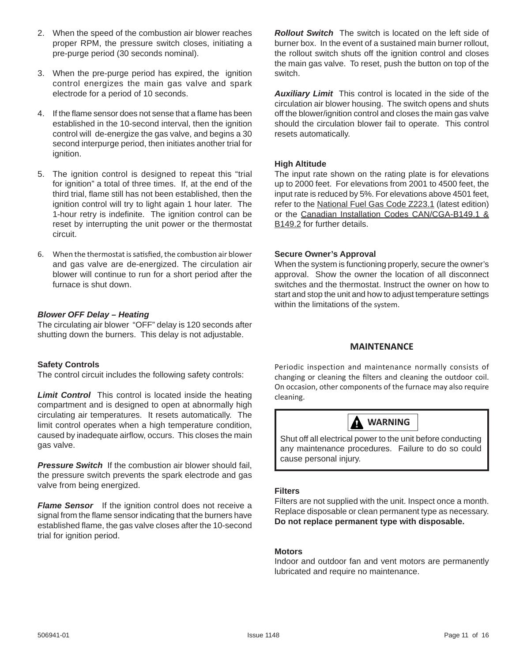- 2. When the speed of the combustion air blower reaches proper RPM, the pressure switch closes, initiating a pre-purge period (30 seconds nominal).
- 3. When the pre-purge period has expired, the ignition control energizes the main gas valve and spark electrode for a period of 10 seconds.
- 4. If the flame sensor does not sense that a flame has been established in the 10-second interval, then the ignition control will de-energize the gas valve, and begins a 30 second interpurge period, then initiates another trial for ignition.
- 5. The ignition control is designed to repeat this "trial for ignition" a total of three times. If, at the end of the third trial, flame still has not been established, then the ignition control will try to light again 1 hour later. The 1-hour retry is indefinite. The ignition control can be reset by interrupting the unit power or the thermostat circuit.
- 6. When the thermostat is satisfied, the combustion air blower and gas valve are de-energized. The circulation air blower will continue to run for a short period after the furnace is shut down.

# *Blower OFF Delay – Heating*

The circulating air blower "OFF" delay is 120 seconds after shutting down the burners. This delay is not adjustable.

#### **Safety Controls**

The control circuit includes the following safety controls:

**Limit Control** This control is located inside the heating compartment and is designed to open at abnormally high circulating air temperatures. It resets automatically. The limit control operates when a high temperature condition, caused by inadequate airflow, occurs. This closes the main gas valve.

**Pressure Switch** If the combustion air blower should fail, the pressure switch prevents the spark electrode and gas valve from being energized.

**Flame Sensor** If the ignition control does not receive a signal from the flame sensor indicating that the burners have established flame, the gas valve closes after the 10-second trial for ignition period.

*Rollout Switch*The switch is located on the left side of burner box. In the event of a sustained main burner rollout, the rollout switch shuts off the ignition control and closes the main gas valve. To reset, push the button on top of the switch.

*Auxiliary Limit*This control is located in the side of the circulation air blower housing. The switch opens and shuts off the blower/ignition control and closes the main gas valve should the circulation blower fail to operate. This control resets automatically.

# **High Altitude**

The input rate shown on the rating plate is for elevations up to 2000 feet. For elevations from 2001 to 4500 feet, the input rate is reduced by 5%. For elevations above 4501 feet, refer to the National Fuel Gas Code Z223.1 (latest edition) or the Canadian Installation Codes CAN/CGA-B149.1 & B149.2 for further details.

#### **Secure Owner's Approval**

When the system is functioning properly, secure the owner's approval. Show the owner the location of all disconnect switches and the thermostat. Instruct the owner on how to start and stop the unit and how to adjust temperature settings within the limitations of the system.

#### **MAINTENANCE**

Periodic inspection and maintenance normally consists of changing or cleaning the filters and cleaning the outdoor coil. On occasion, other components of the furnace may also require cleaning.



Shut off all electrical power to the unit before conducting any maintenance procedures. Failure to do so could cause personal injury.

#### **Filters**

Filters are not supplied with the unit. Inspect once a month. Replace disposable or clean permanent type as necessary. **Do not replace permanent type with disposable.**

#### **Motors**

Indoor and outdoor fan and vent motors are permanently lubricated and require no maintenance.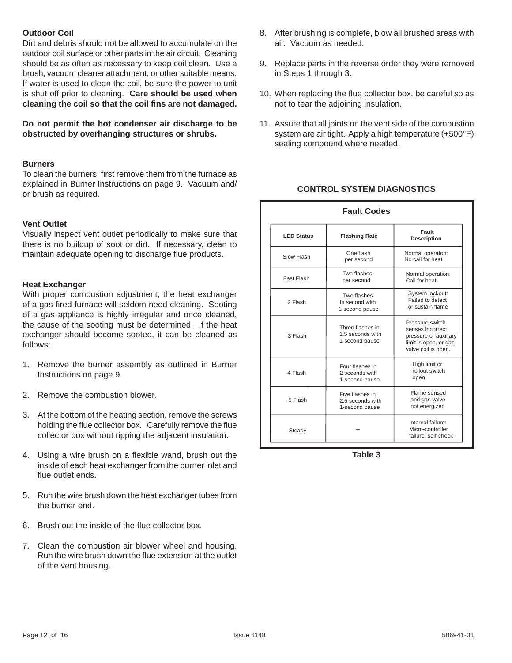#### **Outdoor Coil**

Dirt and debris should not be allowed to accumulate on the outdoor coil surface or other parts in the air circuit. Cleaning should be as often as necessary to keep coil clean. Use a brush, vacuum cleaner attachment, or other suitable means. If water is used to clean the coil, be sure the power to unit is shut off prior to cleaning. **Care should be used when cleaning the coil so that the coil fi ns are not damaged.**

**Do not permit the hot condenser air discharge to be obstructed by overhanging structures or shrubs.**

#### **Burners**

To clean the burners, first remove them from the furnace as explained in Burner Instructions on page 9. Vacuum and/ or brush as required.

#### **Vent Outlet**

Visually inspect vent outlet periodically to make sure that there is no buildup of soot or dirt. If necessary, clean to maintain adequate opening to discharge flue products.

#### **Heat Exchanger**

With proper combustion adjustment, the heat exchanger of a gas-fired furnace will seldom need cleaning. Sooting of a gas appliance is highly irregular and once cleaned, the cause of the sooting must be determined. If the heat exchanger should become sooted, it can be cleaned as follows:

- 1. Remove the burner assembly as outlined in Burner Instructions on page 9.
- 2. Remove the combustion blower.
- 3. At the bottom of the heating section, remove the screws holding the flue collector box. Carefully remove the flue collector box without ripping the adjacent insulation.
- 4. Using a wire brush on a flexible wand, brush out the inside of each heat exchanger from the burner inlet and flue outlet ends.
- 5. Run the wire brush down the heat exchanger tubes from the burner end.
- 6. Brush out the inside of the flue collector box.
- 7. Clean the combustion air blower wheel and housing. Run the wire brush down the flue extension at the outlet of the vent housing.
- 8. After brushing is complete, blow all brushed areas with air. Vacuum as needed.
- 9. Replace parts in the reverse order they were removed in Steps 1 through 3.
- 10. When replacing the flue collector box, be careful so as not to tear the adjoining insulation.
- 11. Assure that all joints on the vent side of the combustion system are air tight. Apply a high temperature (+500°F) sealing compound where needed.

#### **CONTROL SYSTEM DIAGNOSTICS**

| <b>Fault Codes</b> |                                                        |                                                                                                              |  |  |
|--------------------|--------------------------------------------------------|--------------------------------------------------------------------------------------------------------------|--|--|
| <b>LED Status</b>  | <b>Flashing Rate</b>                                   | Fault<br><b>Description</b>                                                                                  |  |  |
| Slow Flash         | One flash<br>per second                                | Normal operaton:<br>No call for heat                                                                         |  |  |
| Fast Flash         | Two flashes<br>per second                              | Normal operation:<br>Call for heat                                                                           |  |  |
| 2 Flash            | Two flashes<br>in second with<br>1-second pause        | System lockout:<br>Failed to detect<br>or sustain flame                                                      |  |  |
| 3 Flash            | Three flashes in<br>1.5 seconds with<br>1-second pause | Pressure switch<br>senses incorrect<br>pressure or auxiliary<br>limit is open, or gas<br>valve coil is open. |  |  |
| 4 Flash            | Four flashes in<br>2 seconds with<br>1-second pause    | High limit or<br>rollout switch<br>open                                                                      |  |  |
| 5 Flash            | Five flashes in<br>2.5 seconds with<br>1-second pause  | Flame sensed<br>and gas valve<br>not energized                                                               |  |  |
| Steady             |                                                        | Internal failure:<br>Micro-controller<br>failure; self-check                                                 |  |  |

**Table 3**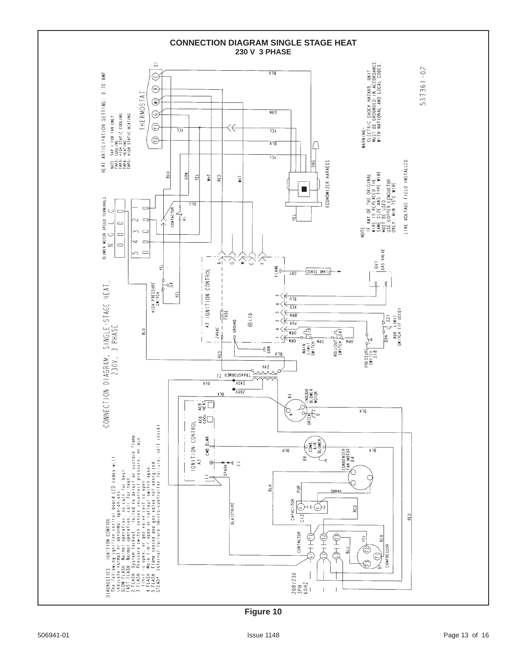

**Figure 10**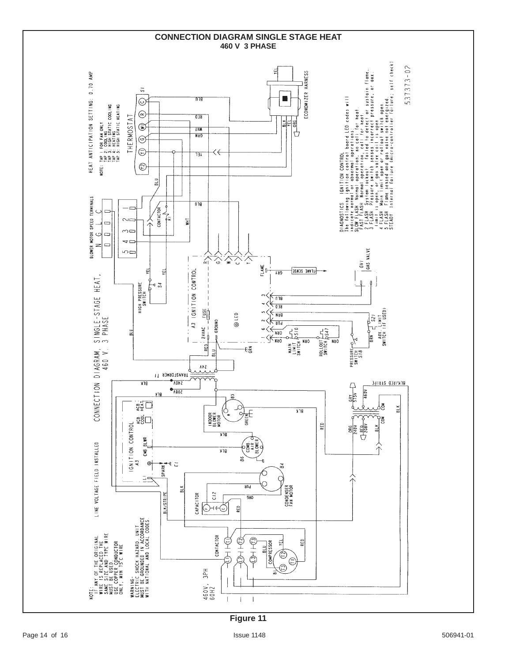

**Figure 11**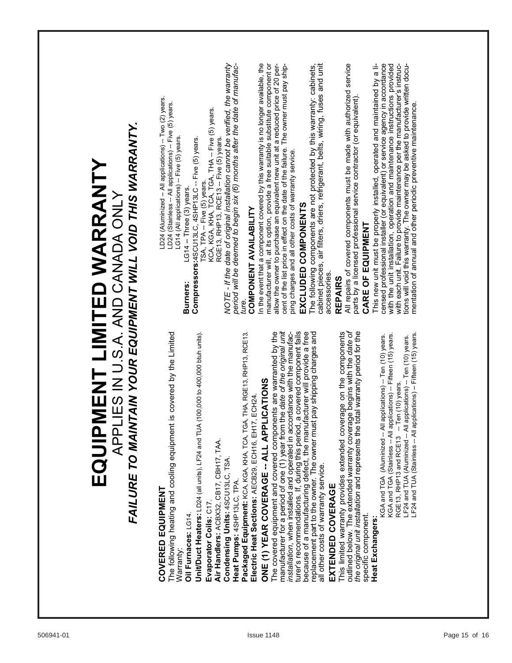| INTAIN YOUR EQUIPMENT WILL VOID THIS WARRANTY.                                   | In the event that a component covered by this warranty is no longer available, the<br>period will be deemed to begin six (6) months after the date of manufac-<br>manufacturer will, at its option, provide a free suitable substitute component or<br>allow the owner to purchase an equivalent new unit at a reduced price of 20 per-<br>All repairs of covered components must be made with authorized service<br>NOTE - If the date of original installation cannot be verified, the warranty<br>cent of the list price in effect on the date of the failure. The owner must pay ship-<br>cabinet pieces, air filters, driers, refrigerant, belts, wiring, fuses and unit<br>This new unit must be properly installed, operated and maintained by a licensed professional installer (or equivalent) or service agency in accordance with the unit installation, operation and maintenance instructions prov<br>with each unit. Failure to provide maintenance per the manufacturer's instruc-<br>tions will void this warranty. The owner may be asked to provide written docu-<br>mentation of annual and other periodic preventive maintenance.<br>The following components are not protected by this warranty: cabinets,<br>parts by a licensed professional service contractor (or equivalent).<br>LD24 (Aluminized - All applications) -- Two (2) years.<br>LD24 (Stainless -- All applications) -- Five (5) years.<br><b>Compressors:</b> 4SCU13LC, 4SHP13LC -- Five (5) years.<br>TSA, TPA -- Five (5) years.<br>KCA, KGA, KHA, TCA, TGA, THA -- Five (5) years.<br>RGE13, RHP13, RCE13 -- Five (5) years.<br>LG14 (All applications) -- Five (5) years.<br>ping charges and all other costs of warranty service.<br>LG14 -- Three (3) years.<br>EXCLUDED COMPONENTS<br><b>COMPONENT AVAILABILITY</b><br>CARE OF EQUIPMENT<br>accessories.<br>REPAIRS<br><b>Burners:</b><br>ture. |               |
|----------------------------------------------------------------------------------|----------------------------------------------------------------------------------------------------------------------------------------------------------------------------------------------------------------------------------------------------------------------------------------------------------------------------------------------------------------------------------------------------------------------------------------------------------------------------------------------------------------------------------------------------------------------------------------------------------------------------------------------------------------------------------------------------------------------------------------------------------------------------------------------------------------------------------------------------------------------------------------------------------------------------------------------------------------------------------------------------------------------------------------------------------------------------------------------------------------------------------------------------------------------------------------------------------------------------------------------------------------------------------------------------------------------------------------------------------------------------------------------------------------------------------------------------------------------------------------------------------------------------------------------------------------------------------------------------------------------------------------------------------------------------------------------------------------------------------------------------------------------------------------------------------------------------------------------------------------------------------------------|---------------|
| EQUIPMENT LIMITED WARRANTY<br>APPLIES IN U.S.A. AND CANADA ONLY<br>FAILURE TO MA | erage begins with the date of<br>manufacturer for a period of one (1) year from the date of the original unit<br>The following heating and cooling equipment is covered by the Limited<br>The covered equipment and covered components are warranted by the<br>turer's recommendations. If, during this period, a covered component fails<br>because of a manufacturing defect, the manufacturer will provide a free<br>replacement part to the owner. The owner must pay shipping charges and<br>This limited warranty provides extended coverage on the components<br>the original unit installation and represents the total warranty period for the<br>installation, when installed and operated in accordance with the manufac-<br>TGA, THA, RGE13, RHP13, RCE13.<br>Unit/Duct Heaters: LD24 (all units), LF24 and TUA (100,000 to 400,000 btuh units).<br>LF24 and TUA (Stainless -- All applications) -- Fifteen (15) years.<br>Il applications) -- Fifteen (15) years.<br>KGA and TGA (Aluminized -- All applications) -- Ten (10) years.<br>LF24 and TUA (Aluminized -- All applications) -- Ten (10) years.<br>ONE (1) YEAR COVERAGE -- ALL APPLICATIONS<br>-- Ten (10) years.<br>Electric Heat Sections: AECB29, ECH16, EH17, ECH24<br>outlined below. The extended warranty cov<br>KGA and TGA (Stainless -- Al<br>RGE13, RHP13 and RCE13<br>Packaged Equipment: KCA, KGA, KHA, TCA,<br>Air Handlers: ACBX32, CB17, CBH17, TAA.<br>Condensing Units: 4SCU13LC, TSA<br>all other costs of warranty service.<br>Heat Pumps: 4SHP13LC, TPA.<br>EXTENDED COVERAGE<br>COVERED EQUIPMENT<br>Evaporator Coils: C17<br>Oil Furnaces: LG14.<br>specific component.<br>Heat Exchangers:<br>Warranty:                                                                                                                                                                                       |               |
| 506941-01                                                                        | Issue 1148                                                                                                                                                                                                                                                                                                                                                                                                                                                                                                                                                                                                                                                                                                                                                                                                                                                                                                                                                                                                                                                                                                                                                                                                                                                                                                                                                                                                                                                                                                                                                                                                                                                                                                                                                                                                                                                                                   | Page 15 of 16 |